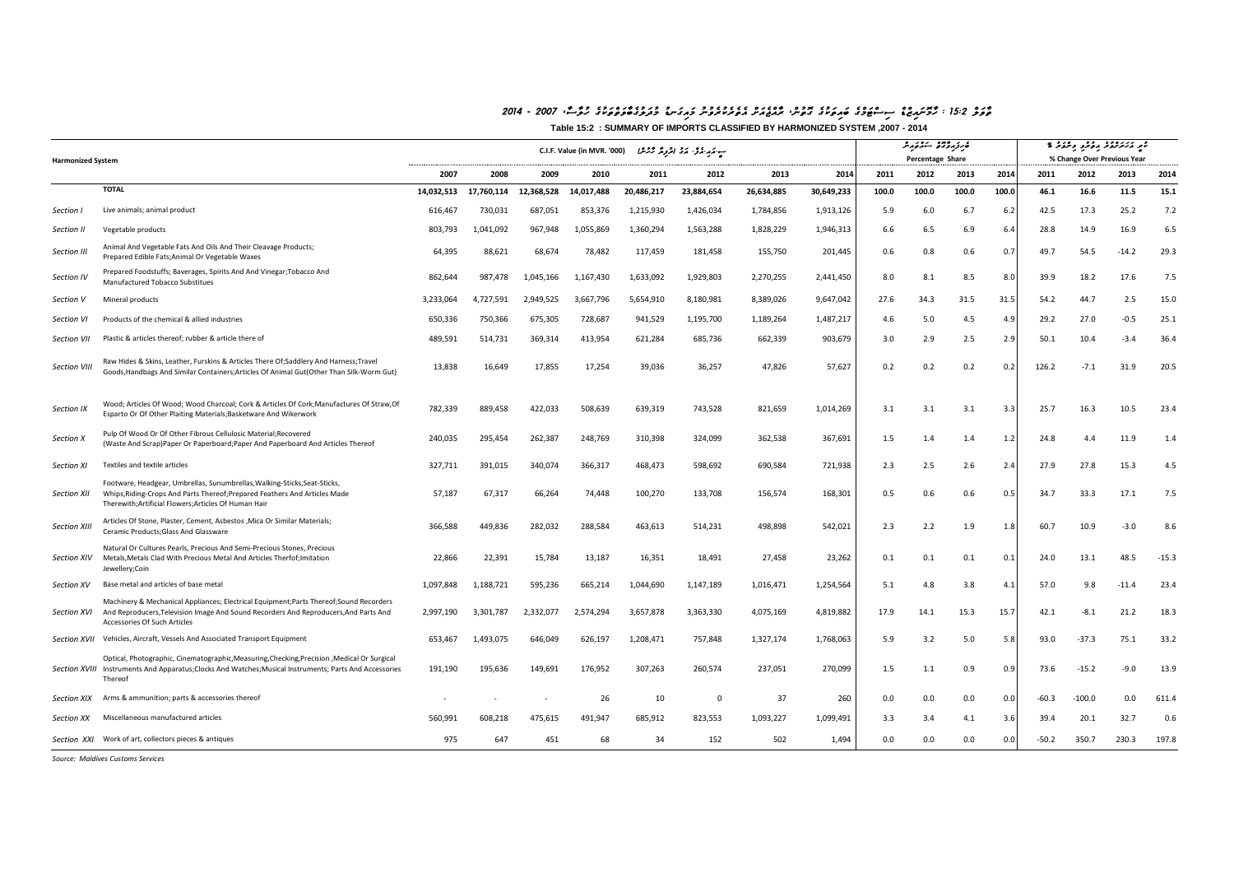## *2014 - 2007 ,WsWluh eguk wtctwvWbegulwdum uDnwgiawm unuverukeretea cSwaejcaWr ,cnutog eguk wtiawb egcmwTcsis cDcziawnomWh : 15:2 clwvWt*

**Table 15:2 : SUMMARY OF IMPORTS CLASSIFIED BY HARMONIZED SYSTEM ,2007 - 2014**

| <b>Harmonized System</b> |                                                                                                                                                                                                                   | بِ مَهِ مَرَّدٍ مَرَّدٍ الْمَرْمِدَّ كَرَمْشًا (C.I.F. Value (in MVR. '000 |            |            |            |            |             |            |            | فبرزودة ستثنوه<br>Percentage Share |       |       |       | القبر لانكشفت بالمقرا والتفائر لا<br>% Change Over Previous Year |          |         |         |
|--------------------------|-------------------------------------------------------------------------------------------------------------------------------------------------------------------------------------------------------------------|----------------------------------------------------------------------------|------------|------------|------------|------------|-------------|------------|------------|------------------------------------|-------|-------|-------|------------------------------------------------------------------|----------|---------|---------|
|                          |                                                                                                                                                                                                                   | 2007                                                                       | 2008       | 2009       | 2010       | 2011       | 2012        | 2013       | 2014       | 2011                               | 2012  | 2013  | 2014  | 2011                                                             | 2012     | 2013    | 2014    |
|                          | <b>TOTAL</b>                                                                                                                                                                                                      | 14,032,513                                                                 | 17,760,114 | 12,368,528 | 14,017,488 | 20,486,217 | 23,884,654  | 26,634,885 | 30,649,233 | 100.0                              | 100.0 | 100.0 | 100.0 | 46.1                                                             | 16.6     | 11.5    | 15.1    |
| Section I                | Live animals; animal product                                                                                                                                                                                      | 616,467                                                                    | 730,031    | 687,051    | 853,376    | 1,215,930  | 1,426,034   | 1,784,856  | 1,913,126  | 5.9                                | 6.0   | 6.7   | 6.2   | 42.5                                                             | 17.3     | 25.2    | 7.2     |
| Section II               | Vegetable products                                                                                                                                                                                                | 803,793                                                                    | 1,041,092  | 967,948    | 1,055,869  | 1,360,294  | 1,563,288   | 1,828,229  | 1,946,313  | 6.6                                | 6.5   | 6.9   | 6.4   | 28.8                                                             | 14.9     | 16.9    | 6.5     |
| Section III              | Animal And Vegetable Fats And Oils And Their Cleavage Products;<br>Prepared Edible Fats; Animal Or Vegetable Waxes                                                                                                | 64,395                                                                     | 88,621     | 68,674     | 78,482     | 117,459    | 181,458     | 155,750    | 201,445    | 0.6                                | 0.8   | 0.6   | 0.7   | 49.7                                                             | 54.5     | $-14.2$ | 29.3    |
| Section IV               | Prepared Foodstuffs; Baverages, Spirits And And Vinegar; Tobacco And<br>Manufactured Tobacco Substitues                                                                                                           | 862.644                                                                    | 987,478    | 1,045,166  | 1,167,430  | 1,633,092  | 1,929,803   | 2,270,255  | 2,441,450  | 8.0                                | 8.1   | 8.5   | 8.0   | 39.9                                                             | 18.2     | 17.6    | 7.5     |
| Section V                | Mineral products                                                                                                                                                                                                  | 3,233,064                                                                  | 4,727,591  | 2,949,525  | 3,667,796  | 5,654,910  | 8,180,981   | 8,389,026  | 9,647,042  | 27.6                               | 34.3  | 31.5  | 31.5  | 54.2                                                             | 44.7     | 2.5     | 15.0    |
| Section VI               | Products of the chemical & allied industries                                                                                                                                                                      | 650,336                                                                    | 750,366    | 675,305    | 728,687    | 941,529    | 1,195,700   | 1,189,264  | 1,487,217  | 4.6                                | 5.0   | 4.5   | 4.9   | 29.2                                                             | 27.0     | $-0.5$  | 25.1    |
| Section VII              | Plastic & articles thereof; rubber & article there of                                                                                                                                                             | 489,591                                                                    | 514,731    | 369,314    | 413,954    | 621,284    | 685,736     | 662,339    | 903,679    | 3.0                                | 2.9   | 2.5   | 2.9   | 50.1                                                             | 10.4     | $-3.4$  | 36.4    |
| Section VIII             | Raw Hides & Skins, Leather, Furskins & Articles There Of;Saddlery And Harness;Travel<br>Goods, Handbags And Similar Containers; Articles Of Animal Gut (Other Than Silk-Worm Gut)                                 | 13,838                                                                     | 16,649     | 17,855     | 17,254     | 39,036     | 36,257      | 47,826     | 57,627     | 0.2                                | 0.2   | 0.2   | 0.2   | 126.2                                                            | $-7.1$   | 31.9    | 20.5    |
| Section IX               | Wood; Articles Of Wood; Wood Charcoal; Cork & Articles Of Cork; Manufactures Of Straw, Of<br>Esparto Or Of Other Plaiting Materials;Basketware And Wikerwork                                                      | 782,339                                                                    | 889,458    | 422,033    | 508,639    | 639,319    | 743,528     | 821,659    | 1,014,269  | 3.1                                | 3.1   | 3.1   | 3.3   | 25.7                                                             | 16.3     | 10.5    | 23.4    |
| Section X                | Pulp Of Wood Or Of Other Fibrous Cellulosic Material; Recovered<br>(Waste And Scrap)Paper Or Paperboard;Paper And Paperboard And Articles Thereof                                                                 | 240,035                                                                    | 295,454    | 262,387    | 248,769    | 310,398    | 324,099     | 362,538    | 367,691    | 1.5                                | 1.4   | 1.4   | 1.2   | 24.8                                                             | 4.4      | 11.9    | 1.4     |
| <b>Section XI</b>        | Textiles and textile articles                                                                                                                                                                                     | 327,711                                                                    | 391,015    | 340,074    | 366,317    | 468,473    | 598,692     | 690,584    | 721,938    | 2.3                                | 2.5   | 2.6   | 2.4   | 27.9                                                             | 27.8     | 15.3    | 4.5     |
| Section XII              | Footware, Headgear, Umbrellas, Sunumbrellas, Walking-Sticks, Seat-Sticks,<br>Whips, Riding-Crops And Parts Thereof; Prepared Feathers And Articles Made<br>Therewith;Artificial Flowers;Articles Of Human Hair    | 57,187                                                                     | 67,317     | 66,264     | 74,448     | 100,270    | 133,708     | 156,574    | 168,301    | 0.5                                | 0.6   | 0.6   | 0.5   | 34.7                                                             | 33.3     | 17.1    | 7.5     |
| <b>Section XIII</b>      | Articles Of Stone, Plaster, Cement, Asbestos , Mica Or Similar Materials;<br>Ceramic Products; Glass And Glassware                                                                                                | 366,588                                                                    | 449,836    | 282,032    | 288,584    | 463,613    | 514,231     | 498,898    | 542,021    | 2.3                                | 2.2   | 1.9   | 1.8   | 60.7                                                             | 10.9     | $-3.0$  | 8.6     |
| Section XIV              | Natural Or Cultures Pearls, Precious And Semi-Precious Stones, Precious<br>Metals, Metals Clad With Precious Metal And Articles Therfof; Imitation<br>Jewellery;Coin                                              | 22,866                                                                     | 22,391     | 15,784     | 13,187     | 16,351     | 18,491      | 27,458     | 23,262     | 0.1                                | 0.1   | 0.1   | 0.1   | 24.0                                                             | 13.1     | 48.5    | $-15.3$ |
| Section XV               | Base metal and articles of base metal                                                                                                                                                                             | 1,097,848                                                                  | 1,188,721  | 595,236    | 665,214    | 1,044,690  | 1,147,189   | 1,016,471  | 1,254,564  | 5.1                                | 4.8   | 3.8   | 4.1   | 57.0                                                             | 9.8      | $-11.4$ | 23.4    |
| <b>Section XVI</b>       | Machinery & Mechanical Appliances; Electrical Equipment;Parts Thereof;Sound Recorders<br>And Reproducers, Television Image And Sound Recorders And Reproducers, And Parts And<br>Accessories Of Such Articles     | 2,997,190                                                                  | 3.301.787  | 2,332,077  | 2,574,294  | 3,657,878  | 3,363,330   | 4,075,169  | 4,819,882  | 17.9                               | 14.1  | 15.3  | 15.7  | 42.1                                                             | $-8.1$   | 21.2    | 18.3    |
|                          | Section XVII Vehicles, Aircraft, Vessels And Associated Transport Equipment                                                                                                                                       | 653,467                                                                    | 1,493,075  | 646,049    | 626,197    | 1,208,471  | 757,848     | 1,327,174  | 1,768,063  | 5.9                                | 3.2   | 5.0   | 5.8   | 93.0                                                             | $-37.3$  | 75.1    | 33.2    |
|                          | Optical, Photographic, Cinematographic, Measuring, Checking, Precision, Medical Or Surgical<br>Section XVIII Instruments And Apparatus; Clocks And Watches; Musical Instruments; Parts And Accessories<br>Thereof | 191,190                                                                    | 195,636    | 149,691    | 176,952    | 307,263    | 260,574     | 237,051    | 270,099    | 1.5                                | 1.1   | 0.9   | 0.9   | 73.6                                                             | $-15.2$  | $-9.0$  | 13.9    |
| Section XIX              | Arms & ammunition; parts & accessories thereof                                                                                                                                                                    |                                                                            |            |            | 26         | 10         | $\mathbf 0$ | 37         | 260        | 0.0                                | 0.0   | 0.0   | 0.0   | $-60.3$                                                          | $-100.0$ | 0.0     | 611.4   |
| Section XX               | Miscellaneous manufactured articles                                                                                                                                                                               | 560.991                                                                    | 608.218    | 475,615    | 491,947    | 685,912    | 823,553     | 1,093,227  | 1,099,491  | 3.3                                | 3.4   | 4.1   | 3.6   | 39.4                                                             | 20.1     | 32.7    | 0.6     |
|                          | Section XXI Work of art, collectors pieces & antiques                                                                                                                                                             | 975                                                                        | 647        | 451        | 68         | 34         | 152         | 502        | 1,494      | 0.0                                | 0.0   | 0.0   | 0.0   | $-50.2$                                                          | 350.7    | 230.3   | 197.8   |

*Source: Maldives Customs Services*